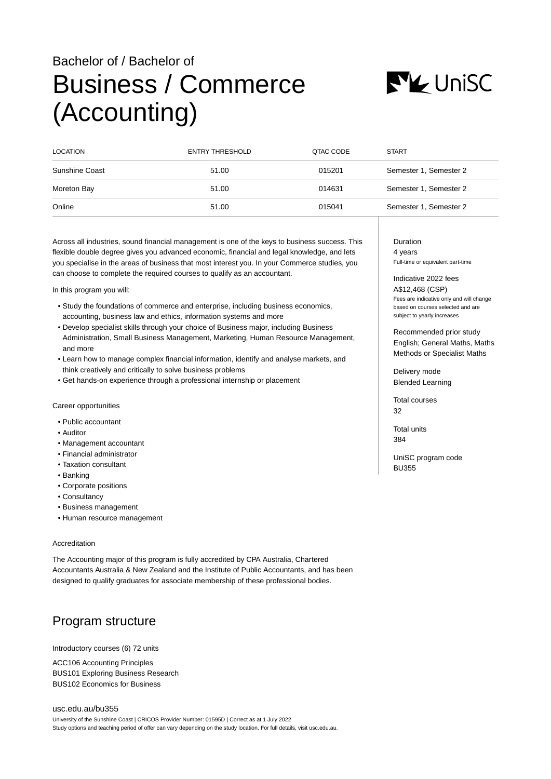# Bachelor of / Bachelor of Business / Commerce (Accounting)



| <b>LOCATION</b> | ENTRY THRESHOLD | QTAC CODE | <b>START</b>           |
|-----------------|-----------------|-----------|------------------------|
| Sunshine Coast  | 51.00           | 015201    | Semester 1, Semester 2 |
| Moreton Bay     | 51.00           | 014631    | Semester 1, Semester 2 |
| Online          | 51.00           | 015041    | Semester 1, Semester 2 |

Across all industries, sound financial management is one of the keys to business success. This flexible double degree gives you advanced economic, financial and legal knowledge, and lets you specialise in the areas of business that most interest you. In your Commerce studies, you can choose to complete the required courses to qualify as an accountant.

In this program you will:

- Study the foundations of commerce and enterprise, including business economics, accounting, business law and ethics, information systems and more
- Develop specialist skills through your choice of Business major, including Business Administration, Small Business Management, Marketing, Human Resource Management, and more
- Learn how to manage complex financial information, identify and analyse markets, and think creatively and critically to solve business problems
- Get hands-on experience through a professional internship or placement

Career opportunities

- Public accountant
- Auditor
- Management accountant
- Financial administrator
- Taxation consultant
- Banking
- Corporate positions
- Consultancy
- Business management
- Human resource management

#### Accreditation

The Accounting major of this program is fully accredited by CPA Australia, Chartered Accountants Australia & New Zealand and the Institute of Public Accountants, and has been designed to qualify graduates for associate membership of these professional bodies.

## Program structure

Introductory courses (6) 72 units

ACC106 Accounting Principles BUS101 Exploring Business Research BUS102 Economics for Business

[usc.edu.au/bu355](https://www.usc.edu.au/bu355) University of the Sunshine Coast | CRICOS Provider Number: 01595D | Correct as at 1 July 2022 Study options and teaching period of offer can vary depending on the study location. For full details, visit usc.edu.au. Duration 4 years

Full-time or equivalent part-time

Indicative 2022 fees A\$12,468 (CSP) Fees are indicative only and will change based on courses selected and are subject to yearly increases

Recommended prior study English; General Maths, Maths Methods or Specialist Maths

Delivery mode Blended Learning

Total courses 32

Total units 384

UniSC program code BU355